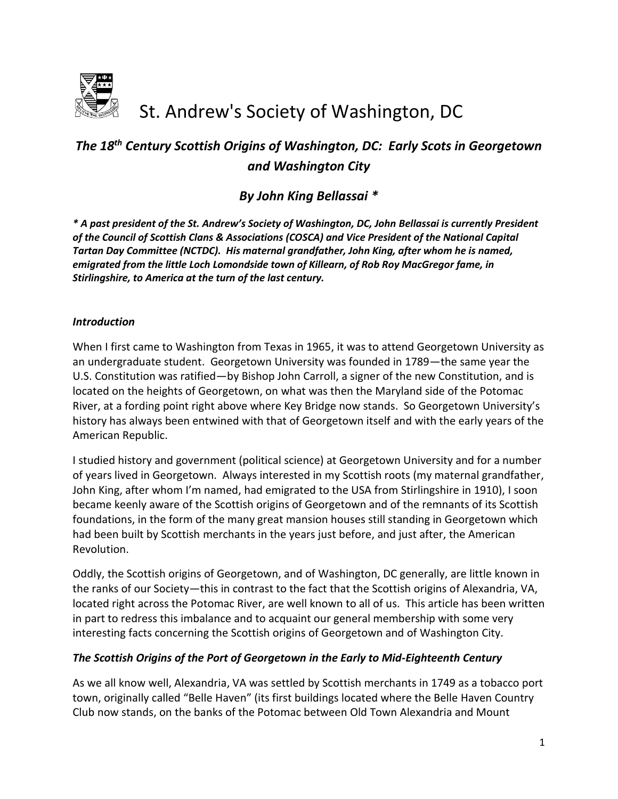

# St. Andrew's Society of Washington, DC

# *The 18th Century Scottish Origins of Washington, DC: Early Scots in Georgetown and Washington City*

# *By John King Bellassai \**

*\* A past president of the St. Andrew's Society of Washington, DC, John Bellassai is currently President of the Council of Scottish Clans & Associations (COSCA) and Vice President of the National Capital Tartan Day Committee (NCTDC). His maternal grandfather, John King, after whom he is named, emigrated from the little Loch Lomondside town of Killearn, of Rob Roy MacGregor fame, in Stirlingshire, to America at the turn of the last century.*

#### *Introduction*

When I first came to Washington from Texas in 1965, it was to attend Georgetown University as an undergraduate student. Georgetown University was founded in 1789—the same year the U.S. Constitution was ratified—by Bishop John Carroll, a signer of the new Constitution, and is located on the heights of Georgetown, on what was then the Maryland side of the Potomac River, at a fording point right above where Key Bridge now stands. So Georgetown University's history has always been entwined with that of Georgetown itself and with the early years of the American Republic.

I studied history and government (political science) at Georgetown University and for a number of years lived in Georgetown. Always interested in my Scottish roots (my maternal grandfather, John King, after whom I'm named, had emigrated to the USA from Stirlingshire in 1910), I soon became keenly aware of the Scottish origins of Georgetown and of the remnants of its Scottish foundations, in the form of the many great mansion houses still standing in Georgetown which had been built by Scottish merchants in the years just before, and just after, the American Revolution.

Oddly, the Scottish origins of Georgetown, and of Washington, DC generally, are little known in the ranks of our Society—this in contrast to the fact that the Scottish origins of Alexandria, VA, located right across the Potomac River, are well known to all of us. This article has been written in part to redress this imbalance and to acquaint our general membership with some very interesting facts concerning the Scottish origins of Georgetown and of Washington City.

#### *The Scottish Origins of the Port of Georgetown in the Early to Mid-Eighteenth Century*

As we all know well, Alexandria, VA was settled by Scottish merchants in 1749 as a tobacco port town, originally called "Belle Haven" (its first buildings located where the Belle Haven Country Club now stands, on the banks of the Potomac between Old Town Alexandria and Mount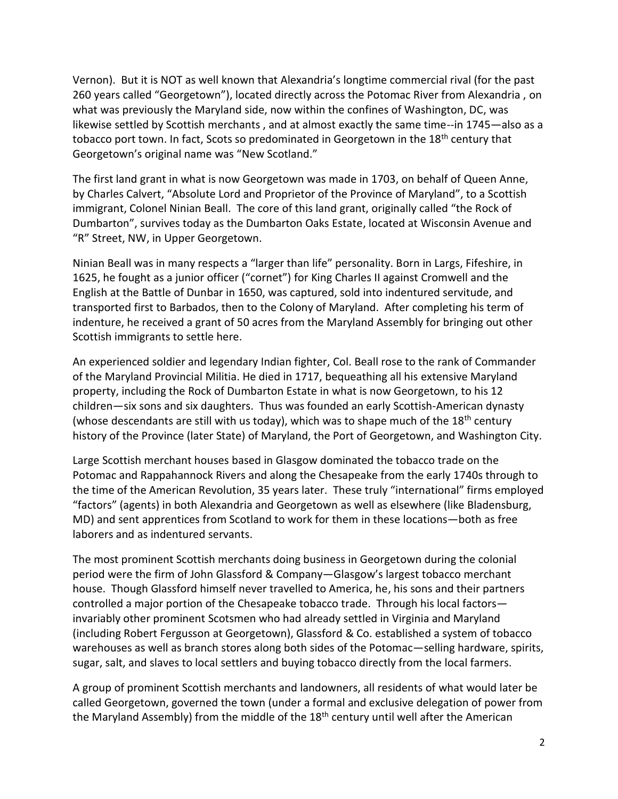Vernon). But it is NOT as well known that Alexandria's longtime commercial rival (for the past 260 years called "Georgetown"), located directly across the Potomac River from Alexandria , on what was previously the Maryland side, now within the confines of Washington, DC, was likewise settled by Scottish merchants , and at almost exactly the same time--in 1745—also as a tobacco port town. In fact, Scots so predominated in Georgetown in the 18<sup>th</sup> century that Georgetown's original name was "New Scotland."

The first land grant in what is now Georgetown was made in 1703, on behalf of Queen Anne, by Charles Calvert, "Absolute Lord and Proprietor of the Province of Maryland", to a Scottish immigrant, Colonel Ninian Beall.The core of this land grant, originally called "the Rock of Dumbarton", survives today as the Dumbarton Oaks Estate, located at Wisconsin Avenue and "R" Street, NW, in Upper Georgetown.

Ninian Beall was in many respects a "larger than life" personality. Born in Largs, Fifeshire, in 1625, he fought as a junior officer ("cornet") for King Charles II against Cromwell and the English at the Battle of Dunbar in 1650, was captured, sold into indentured servitude, and transported first to Barbados, then to the Colony of Maryland. After completing his term of indenture, he received a grant of 50 acres from the Maryland Assembly for bringing out other Scottish immigrants to settle here.

An experienced soldier and legendary Indian fighter, Col. Beall rose to the rank of Commander of the Maryland Provincial Militia. He died in 1717, bequeathing all his extensive Maryland property, including the Rock of Dumbarton Estate in what is now Georgetown, to his 12 children—six sons and six daughters. Thus was founded an early Scottish-American dynasty (whose descendants are still with us today), which was to shape much of the  $18<sup>th</sup>$  century history of the Province (later State) of Maryland, the Port of Georgetown, and Washington City.

Large Scottish merchant houses based in Glasgow dominated the tobacco trade on the Potomac and Rappahannock Rivers and along the Chesapeake from the early 1740s through to the time of the American Revolution, 35 years later. These truly "international" firms employed "factors" (agents) in both Alexandria and Georgetown as well as elsewhere (like Bladensburg, MD) and sent apprentices from Scotland to work for them in these locations—both as free laborers and as indentured servants.

The most prominent Scottish merchants doing business in Georgetown during the colonial period were the firm of John Glassford & Company—Glasgow's largest tobacco merchant house. Though Glassford himself never travelled to America, he, his sons and their partners controlled a major portion of the Chesapeake tobacco trade. Through his local factors invariably other prominent Scotsmen who had already settled in Virginia and Maryland (including Robert Fergusson at Georgetown), Glassford & Co. established a system of tobacco warehouses as well as branch stores along both sides of the Potomac—selling hardware, spirits, sugar, salt, and slaves to local settlers and buying tobacco directly from the local farmers.

A group of prominent Scottish merchants and landowners, all residents of what would later be called Georgetown, governed the town (under a formal and exclusive delegation of power from the Maryland Assembly) from the middle of the  $18<sup>th</sup>$  century until well after the American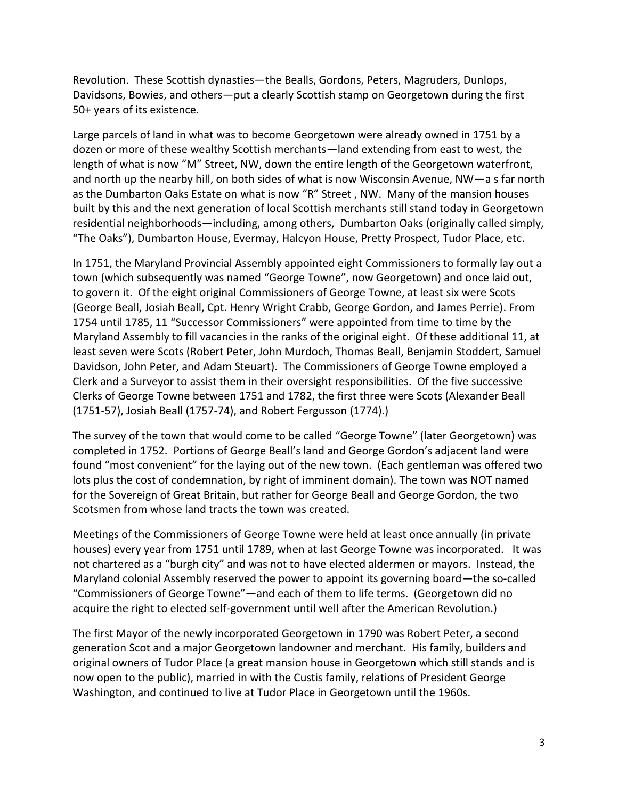Revolution. These Scottish dynasties—the Bealls, Gordons, Peters, Magruders, Dunlops, Davidsons, Bowies, and others—put a clearly Scottish stamp on Georgetown during the first 50+ years of its existence.

Large parcels of land in what was to become Georgetown were already owned in 1751 by a dozen or more of these wealthy Scottish merchants—land extending from east to west, the length of what is now "M" Street, NW, down the entire length of the Georgetown waterfront, and north up the nearby hill, on both sides of what is now Wisconsin Avenue, NW—a s far north as the Dumbarton Oaks Estate on what is now "R" Street , NW. Many of the mansion houses built by this and the next generation of local Scottish merchants still stand today in Georgetown residential neighborhoods—including, among others, Dumbarton Oaks (originally called simply, "The Oaks"), Dumbarton House, Evermay, Halcyon House, Pretty Prospect, Tudor Place, etc.

In 1751, the Maryland Provincial Assembly appointed eight Commissioners to formally lay out a town (which subsequently was named "George Towne", now Georgetown) and once laid out, to govern it. Of the eight original Commissioners of George Towne, at least six were Scots (George Beall, Josiah Beall, Cpt. Henry Wright Crabb, George Gordon, and James Perrie). From 1754 until 1785, 11 "Successor Commissioners" were appointed from time to time by the Maryland Assembly to fill vacancies in the ranks of the original eight. Of these additional 11, at least seven were Scots (Robert Peter, John Murdoch, Thomas Beall, Benjamin Stoddert, Samuel Davidson, John Peter, and Adam Steuart). The Commissioners of George Towne employed a Clerk and a Surveyor to assist them in their oversight responsibilities. Of the five successive Clerks of George Towne between 1751 and 1782, the first three were Scots (Alexander Beall (1751-57), Josiah Beall (1757-74), and Robert Fergusson (1774).)

The survey of the town that would come to be called "George Towne" (later Georgetown) was completed in 1752. Portions of George Beall's land and George Gordon's adjacent land were found "most convenient" for the laying out of the new town. (Each gentleman was offered two lots plus the cost of condemnation, by right of imminent domain). The town was NOT named for the Sovereign of Great Britain, but rather for George Beall and George Gordon, the two Scotsmen from whose land tracts the town was created.

Meetings of the Commissioners of George Towne were held at least once annually (in private houses) every year from 1751 until 1789, when at last George Towne was incorporated. It was not chartered as a "burgh city" and was not to have elected aldermen or mayors. Instead, the Maryland colonial Assembly reserved the power to appoint its governing board—the so-called "Commissioners of George Towne"—and each of them to life terms. (Georgetown did no acquire the right to elected self-government until well after the American Revolution.)

The first Mayor of the newly incorporated Georgetown in 1790 was Robert Peter, a second generation Scot and a major Georgetown landowner and merchant.His family, builders and original owners of Tudor Place (a great mansion house in Georgetown which still stands and is now open to the public), married in with the Custis family, relations of President George Washington, and continued to live at Tudor Place in Georgetown until the 1960s.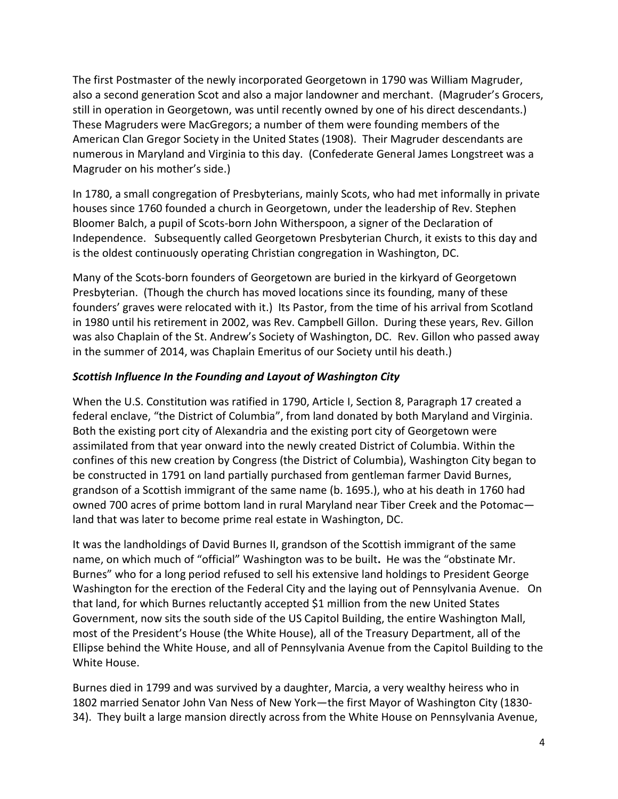The first Postmaster of the newly incorporated Georgetown in 1790 was William Magruder, also a second generation Scot and also a major landowner and merchant. (Magruder's Grocers, still in operation in Georgetown, was until recently owned by one of his direct descendants.) These Magruders were MacGregors; a number of them were founding members of the American Clan Gregor Society in the United States (1908). Their Magruder descendants are numerous in Maryland and Virginia to this day. (Confederate General James Longstreet was a Magruder on his mother's side.)

In 1780, a small congregation of Presbyterians, mainly Scots, who had met informally in private houses since 1760 founded a church in Georgetown, under the leadership of Rev. Stephen Bloomer Balch, a pupil of Scots-born John Witherspoon, a signer of the Declaration of Independence. Subsequently called Georgetown Presbyterian Church, it exists to this day and is the oldest continuously operating Christian congregation in Washington, DC.

Many of the Scots-born founders of Georgetown are buried in the kirkyard of Georgetown Presbyterian. (Though the church has moved locations since its founding, many of these founders' graves were relocated with it.) Its Pastor, from the time of his arrival from Scotland in 1980 until his retirement in 2002, was Rev. Campbell Gillon. During these years, Rev. Gillon was also Chaplain of the St. Andrew's Society of Washington, DC. Rev. Gillon who passed away in the summer of 2014, was Chaplain Emeritus of our Society until his death.)

#### *Scottish Influence In the Founding and Layout of Washington City*

When the U.S. Constitution was ratified in 1790, Article I, Section 8, Paragraph 17 created a federal enclave, "the District of Columbia", from land donated by both Maryland and Virginia. Both the existing port city of Alexandria and the existing port city of Georgetown were assimilated from that year onward into the newly created District of Columbia. Within the confines of this new creation by Congress (the District of Columbia), Washington City began to be constructed in 1791 on land partially purchased from gentleman farmer David Burnes, grandson of a Scottish immigrant of the same name (b. 1695.), who at his death in 1760 had owned 700 acres of prime bottom land in rural Maryland near Tiber Creek and the Potomac land that was later to become prime real estate in Washington, DC.

It was the landholdings of David Burnes II, grandson of the Scottish immigrant of the same name, on which much of "official" Washington was to be built**.** He was the "obstinate Mr. Burnes" who for a long period refused to sell his extensive land holdings to President George Washington for the erection of the Federal City and the laying out of Pennsylvania Avenue. On that land, for which Burnes reluctantly accepted \$1 million from the new United States Government, now sits the south side of the US Capitol Building, the entire Washington Mall, most of the President's House (the White House), all of the Treasury Department, all of the Ellipse behind the White House, and all of Pennsylvania Avenue from the Capitol Building to the White House.

Burnes died in 1799 and was survived by a daughter, Marcia, a very wealthy heiress who in 1802 married Senator John Van Ness of New York—the first Mayor of Washington City (1830- 34). They built a large mansion directly across from the White House on Pennsylvania Avenue,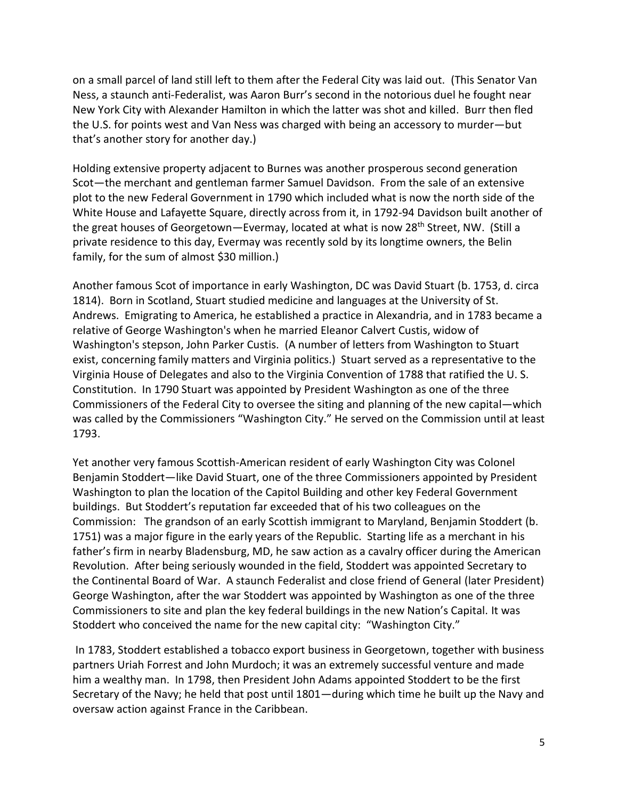on a small parcel of land still left to them after the Federal City was laid out. (This Senator Van Ness, a staunch anti-Federalist, was Aaron Burr's second in the notorious duel he fought near New York City with Alexander Hamilton in which the latter was shot and killed. Burr then fled the U.S. for points west and Van Ness was charged with being an accessory to murder—but that's another story for another day.)

Holding extensive property adjacent to Burnes was another prosperous second generation Scot—the merchant and gentleman farmer Samuel Davidson. From the sale of an extensive plot to the new Federal Government in 1790 which included what is now the north side of the White House and Lafayette Square, directly across from it, in 1792-94 Davidson built another of the great houses of Georgetown-Evermay, located at what is now 28<sup>th</sup> Street, NW. (Still a private residence to this day, Evermay was recently sold by its longtime owners, the Belin family, for the sum of almost \$30 million.)

Another famous Scot of importance in early Washington, DC was David Stuart (b. 1753, d. circa 1814). Born in Scotland, Stuart studied medicine and languages at the University of St. Andrews. Emigrating to America, he established a practice in Alexandria, and in 1783 became a relative of George Washington's when he married Eleanor Calvert Custis, widow of Washington's stepson, John Parker Custis. (A number of letters from Washington to Stuart exist, concerning family matters and Virginia politics.) Stuart served as a representative to the Virginia House of Delegates and also to the Virginia Convention of 1788 that ratified the U. S. Constitution. In 1790 Stuart was appointed by President Washington as one of the three Commissioners of the Federal City to oversee the siting and planning of the new capital—which was called by the Commissioners "Washington City." He served on the Commission until at least 1793.

Yet another very famous Scottish-American resident of early Washington City was Colonel Benjamin Stoddert—like David Stuart, one of the three Commissioners appointed by President Washington to plan the location of the Capitol Building and other key Federal Government buildings. But Stoddert's reputation far exceeded that of his two colleagues on the Commission: The grandson of an early Scottish immigrant to Maryland, Benjamin Stoddert (b. 1751) was a major figure in the early years of the Republic. Starting life as a merchant in his father's firm in nearby Bladensburg, MD, he saw action as a cavalry officer during the American Revolution. After being seriously wounded in the field, Stoddert was appointed Secretary to the Continental Board of War. A staunch Federalist and close friend of General (later President) George Washington, after the war Stoddert was appointed by Washington as one of the three Commissioners to site and plan the key federal buildings in the new Nation's Capital. It was Stoddert who conceived the name for the new capital city: "Washington City."

In 1783, Stoddert established a tobacco export business in Georgetown, together with business partners Uriah Forrest and John Murdoch; it was an extremely successful venture and made him a wealthy man. In 1798, then President John Adams appointed Stoddert to be the first Secretary of the Navy; he held that post until 1801—during which time he built up the Navy and oversaw action against France in the Caribbean.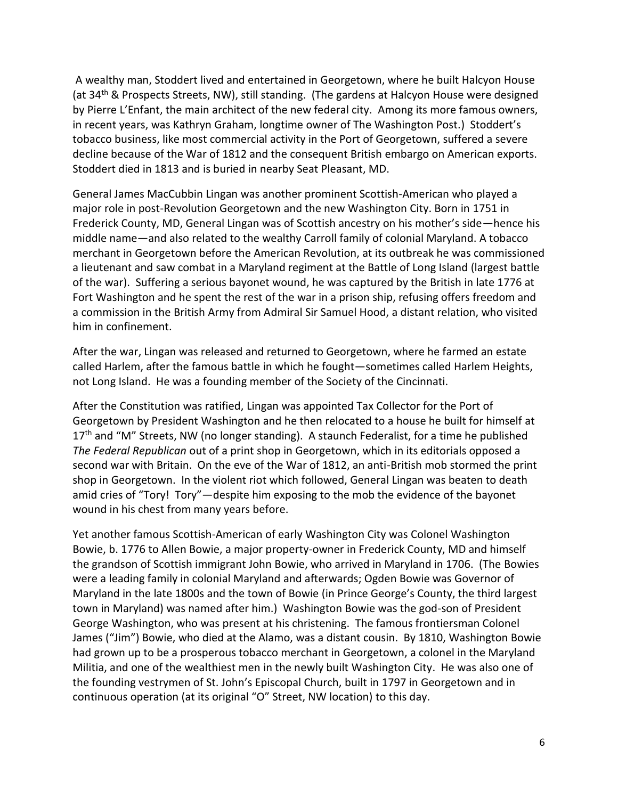A wealthy man, Stoddert lived and entertained in Georgetown, where he built Halcyon House (at 34<sup>th</sup> & Prospects Streets, NW), still standing. (The gardens at Halcyon House were designed by Pierre L'Enfant, the main architect of the new federal city. Among its more famous owners, in recent years, was Kathryn Graham, longtime owner of The Washington Post.) Stoddert's tobacco business, like most commercial activity in the Port of Georgetown, suffered a severe decline because of the War of 1812 and the consequent British embargo on American exports. Stoddert died in 1813 and is buried in nearby Seat Pleasant, MD.

General James MacCubbin Lingan was another prominent Scottish-American who played a major role in post-Revolution Georgetown and the new Washington City. Born in 1751 in Frederick County, MD, General Lingan was of Scottish ancestry on his mother's side—hence his middle name—and also related to the wealthy Carroll family of colonial Maryland. A tobacco merchant in Georgetown before the American Revolution, at its outbreak he was commissioned a lieutenant and saw combat in a Maryland regiment at the Battle of Long Island (largest battle of the war). Suffering a serious bayonet wound, he was captured by the British in late 1776 at Fort Washington and he spent the rest of the war in a prison ship, refusing offers freedom and a commission in the British Army from Admiral Sir Samuel Hood, a distant relation, who visited him in confinement.

After the war, Lingan was released and returned to Georgetown, where he farmed an estate called Harlem, after the famous battle in which he fought—sometimes called Harlem Heights, not Long Island. He was a founding member of the Society of the Cincinnati.

After the Constitution was ratified, Lingan was appointed Tax Collector for the Port of Georgetown by President Washington and he then relocated to a house he built for himself at  $17<sup>th</sup>$  and "M" Streets, NW (no longer standing). A staunch Federalist, for a time he published *The Federal Republican* out of a print shop in Georgetown, which in its editorials opposed a second war with Britain. On the eve of the War of 1812, an anti-British mob stormed the print shop in Georgetown. In the violent riot which followed, General Lingan was beaten to death amid cries of "Tory! Tory"—despite him exposing to the mob the evidence of the bayonet wound in his chest from many years before.

Yet another famous Scottish-American of early Washington City was Colonel Washington Bowie, b. 1776 to Allen Bowie, a major property-owner in Frederick County, MD and himself the grandson of Scottish immigrant John Bowie, who arrived in Maryland in 1706. (The Bowies were a leading family in colonial Maryland and afterwards; Ogden Bowie was Governor of Maryland in the late 1800s and the town of Bowie (in Prince George's County, the third largest town in Maryland) was named after him.) Washington Bowie was the god-son of President George Washington, who was present at his christening. The famous frontiersman Colonel James ("Jim") Bowie, who died at the Alamo, was a distant cousin. By 1810, Washington Bowie had grown up to be a prosperous tobacco merchant in Georgetown, a colonel in the Maryland Militia, and one of the wealthiest men in the newly built Washington City. He was also one of the founding vestrymen of St. John's Episcopal Church, built in 1797 in Georgetown and in continuous operation (at its original "O" Street, NW location) to this day.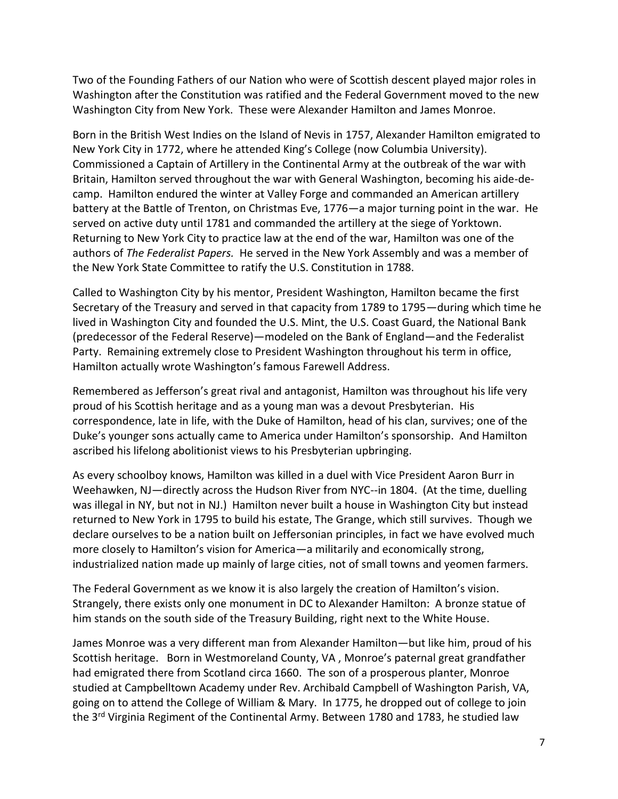Two of the Founding Fathers of our Nation who were of Scottish descent played major roles in Washington after the Constitution was ratified and the Federal Government moved to the new Washington City from New York. These were Alexander Hamilton and James Monroe.

Born in the British West Indies on the Island of Nevis in 1757, Alexander Hamilton emigrated to New York City in 1772, where he attended King's College (now Columbia University). Commissioned a Captain of Artillery in the Continental Army at the outbreak of the war with Britain, Hamilton served throughout the war with General Washington, becoming his aide-decamp. Hamilton endured the winter at Valley Forge and commanded an American artillery battery at the Battle of Trenton, on Christmas Eve, 1776—a major turning point in the war. He served on active duty until 1781 and commanded the artillery at the siege of Yorktown. Returning to New York City to practice law at the end of the war, Hamilton was one of the authors of *The Federalist Papers.* He served in the New York Assembly and was a member of the New York State Committee to ratify the U.S. Constitution in 1788.

Called to Washington City by his mentor, President Washington, Hamilton became the first Secretary of the Treasury and served in that capacity from 1789 to 1795—during which time he lived in Washington City and founded the U.S. Mint, the U.S. Coast Guard, the National Bank (predecessor of the Federal Reserve)—modeled on the Bank of England—and the Federalist Party. Remaining extremely close to President Washington throughout his term in office, Hamilton actually wrote Washington's famous Farewell Address.

Remembered as Jefferson's great rival and antagonist, Hamilton was throughout his life very proud of his Scottish heritage and as a young man was a devout Presbyterian. His correspondence, late in life, with the Duke of Hamilton, head of his clan, survives; one of the Duke's younger sons actually came to America under Hamilton's sponsorship. And Hamilton ascribed his lifelong abolitionist views to his Presbyterian upbringing.

As every schoolboy knows, Hamilton was killed in a duel with Vice President Aaron Burr in Weehawken, NJ—directly across the Hudson River from NYC--in 1804. (At the time, duelling was illegal in NY, but not in NJ.) Hamilton never built a house in Washington City but instead returned to New York in 1795 to build his estate, The Grange, which still survives. Though we declare ourselves to be a nation built on Jeffersonian principles, in fact we have evolved much more closely to Hamilton's vision for America—a militarily and economically strong, industrialized nation made up mainly of large cities, not of small towns and yeomen farmers.

The Federal Government as we know it is also largely the creation of Hamilton's vision. Strangely, there exists only one monument in DC to Alexander Hamilton: A bronze statue of him stands on the south side of the Treasury Building, right next to the White House.

James Monroe was a very different man from Alexander Hamilton—but like him, proud of his Scottish heritage. Born in Westmoreland County, VA , Monroe's paternal great grandfather had emigrated there from Scotland circa 1660. The son of a prosperous planter, Monroe studied at Campbelltown Academy under Rev. Archibald Campbell of Washington Parish, VA, going on to attend the College of William & Mary. In 1775, he dropped out of college to join the 3<sup>rd</sup> Virginia Regiment of the Continental Army. Between 1780 and 1783, he studied law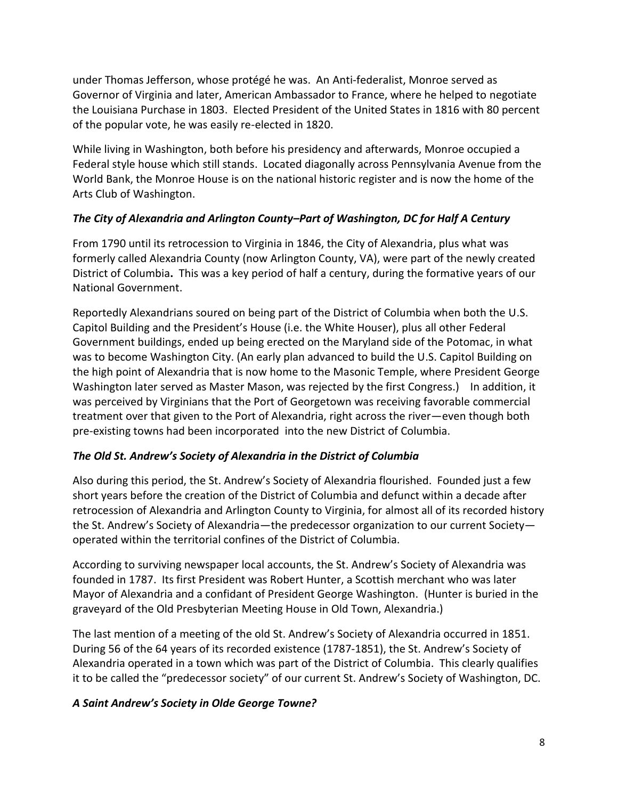under Thomas Jefferson, whose protégé he was. An Anti-federalist, Monroe served as Governor of Virginia and later, American Ambassador to France, where he helped to negotiate the Louisiana Purchase in 1803. Elected President of the United States in 1816 with 80 percent of the popular vote, he was easily re-elected in 1820.

While living in Washington, both before his presidency and afterwards, Monroe occupied a Federal style house which still stands. Located diagonally across Pennsylvania Avenue from the World Bank, the Monroe House is on the national historic register and is now the home of the Arts Club of Washington.

## *The City of Alexandria and Arlington County–Part of Washington, DC for Half A Century*

From 1790 until its retrocession to Virginia in 1846, the City of Alexandria, plus what was formerly called Alexandria County (now Arlington County, VA), were part of the newly created District of Columbia**.** This was a key period of half a century, during the formative years of our National Government.

Reportedly Alexandrians soured on being part of the District of Columbia when both the U.S. Capitol Building and the President's House (i.e. the White Houser), plus all other Federal Government buildings, ended up being erected on the Maryland side of the Potomac, in what was to become Washington City. (An early plan advanced to build the U.S. Capitol Building on the high point of Alexandria that is now home to the Masonic Temple, where President George Washington later served as Master Mason, was rejected by the first Congress.) In addition, it was perceived by Virginians that the Port of Georgetown was receiving favorable commercial treatment over that given to the Port of Alexandria, right across the river—even though both pre-existing towns had been incorporated into the new District of Columbia.

#### *The Old St. Andrew's Society of Alexandria in the District of Columbia*

Also during this period, the St. Andrew's Society of Alexandria flourished. Founded just a few short years before the creation of the District of Columbia and defunct within a decade after retrocession of Alexandria and Arlington County to Virginia, for almost all of its recorded history the St. Andrew's Society of Alexandria—the predecessor organization to our current Society operated within the territorial confines of the District of Columbia.

According to surviving newspaper local accounts, the St. Andrew's Society of Alexandria was founded in 1787. Its first President was Robert Hunter, a Scottish merchant who was later Mayor of Alexandria and a confidant of President George Washington. (Hunter is buried in the graveyard of the Old Presbyterian Meeting House in Old Town, Alexandria.)

The last mention of a meeting of the old St. Andrew's Society of Alexandria occurred in 1851. During 56 of the 64 years of its recorded existence (1787-1851), the St. Andrew's Society of Alexandria operated in a town which was part of the District of Columbia. This clearly qualifies it to be called the "predecessor society" of our current St. Andrew's Society of Washington, DC.

#### *A Saint Andrew's Society in Olde George Towne?*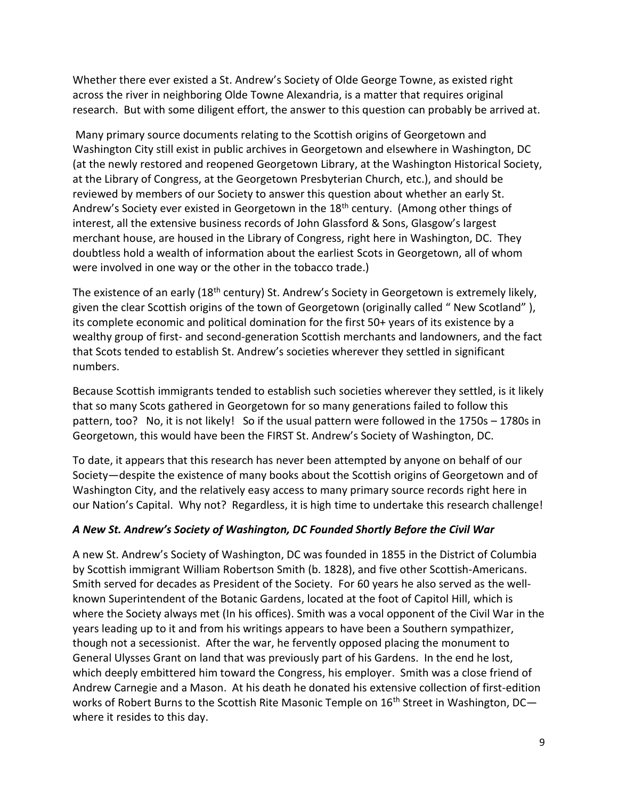Whether there ever existed a St. Andrew's Society of Olde George Towne, as existed right across the river in neighboring Olde Towne Alexandria, is a matter that requires original research. But with some diligent effort, the answer to this question can probably be arrived at.

Many primary source documents relating to the Scottish origins of Georgetown and Washington City still exist in public archives in Georgetown and elsewhere in Washington, DC (at the newly restored and reopened Georgetown Library, at the Washington Historical Society, at the Library of Congress, at the Georgetown Presbyterian Church, etc.), and should be reviewed by members of our Society to answer this question about whether an early St. Andrew's Society ever existed in Georgetown in the  $18<sup>th</sup>$  century. (Among other things of interest, all the extensive business records of John Glassford & Sons, Glasgow's largest merchant house, are housed in the Library of Congress, right here in Washington, DC. They doubtless hold a wealth of information about the earliest Scots in Georgetown, all of whom were involved in one way or the other in the tobacco trade.)

The existence of an early (18<sup>th</sup> century) St. Andrew's Society in Georgetown is extremely likely, given the clear Scottish origins of the town of Georgetown (originally called " New Scotland" ), its complete economic and political domination for the first 50+ years of its existence by a wealthy group of first- and second-generation Scottish merchants and landowners, and the fact that Scots tended to establish St. Andrew's societies wherever they settled in significant numbers.

Because Scottish immigrants tended to establish such societies wherever they settled, is it likely that so many Scots gathered in Georgetown for so many generations failed to follow this pattern, too? No, it is not likely! So if the usual pattern were followed in the 1750s – 1780s in Georgetown, this would have been the FIRST St. Andrew's Society of Washington, DC.

To date, it appears that this research has never been attempted by anyone on behalf of our Society—despite the existence of many books about the Scottish origins of Georgetown and of Washington City, and the relatively easy access to many primary source records right here in our Nation's Capital. Why not? Regardless, it is high time to undertake this research challenge!

#### *A New St. Andrew's Society of Washington, DC Founded Shortly Before the Civil War*

A new St. Andrew's Society of Washington, DC was founded in 1855 in the District of Columbia by Scottish immigrant William Robertson Smith (b. 1828), and five other Scottish-Americans. Smith served for decades as President of the Society. For 60 years he also served as the wellknown Superintendent of the Botanic Gardens, located at the foot of Capitol Hill, which is where the Society always met (In his offices). Smith was a vocal opponent of the Civil War in the years leading up to it and from his writings appears to have been a Southern sympathizer, though not a secessionist. After the war, he fervently opposed placing the monument to General Ulysses Grant on land that was previously part of his Gardens. In the end he lost, which deeply embittered him toward the Congress, his employer. Smith was a close friend of Andrew Carnegie and a Mason. At his death he donated his extensive collection of first-edition works of Robert Burns to the Scottish Rite Masonic Temple on 16<sup>th</sup> Street in Washington, DCwhere it resides to this day.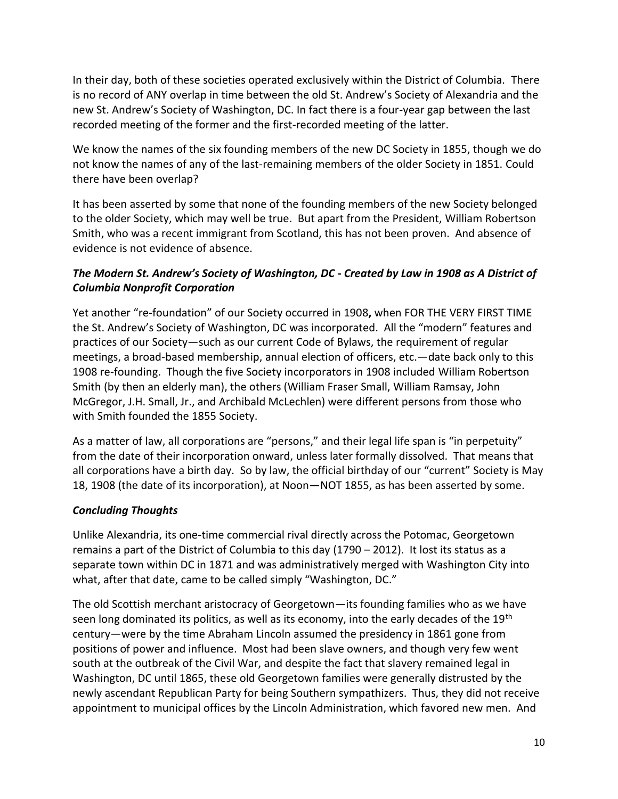In their day, both of these societies operated exclusively within the District of Columbia. There is no record of ANY overlap in time between the old St. Andrew's Society of Alexandria and the new St. Andrew's Society of Washington, DC. In fact there is a four-year gap between the last recorded meeting of the former and the first-recorded meeting of the latter.

We know the names of the six founding members of the new DC Society in 1855, though we do not know the names of any of the last-remaining members of the older Society in 1851. Could there have been overlap?

It has been asserted by some that none of the founding members of the new Society belonged to the older Society, which may well be true. But apart from the President, William Robertson Smith, who was a recent immigrant from Scotland, this has not been proven. And absence of evidence is not evidence of absence.

## *The Modern St. Andrew's Society of Washington, DC - Created by Law in 1908 as A District of Columbia Nonprofit Corporation*

Yet another "re-foundation" of our Society occurred in 1908**,** when FOR THE VERY FIRST TIME the St. Andrew's Society of Washington, DC was incorporated. All the "modern" features and practices of our Society—such as our current Code of Bylaws, the requirement of regular meetings, a broad-based membership, annual election of officers, etc.—date back only to this 1908 re-founding. Though the five Society incorporators in 1908 included William Robertson Smith (by then an elderly man), the others (William Fraser Small, William Ramsay, John McGregor, J.H. Small, Jr., and Archibald McLechlen) were different persons from those who with Smith founded the 1855 Society.

As a matter of law, all corporations are "persons," and their legal life span is "in perpetuity" from the date of their incorporation onward, unless later formally dissolved. That means that all corporations have a birth day. So by law, the official birthday of our "current" Society is May 18, 1908 (the date of its incorporation), at Noon—NOT 1855, as has been asserted by some.

## *Concluding Thoughts*

Unlike Alexandria, its one-time commercial rival directly across the Potomac, Georgetown remains a part of the District of Columbia to this day (1790 – 2012). It lost its status as a separate town within DC in 1871 and was administratively merged with Washington City into what, after that date, came to be called simply "Washington, DC."

The old Scottish merchant aristocracy of Georgetown—its founding families who as we have seen long dominated its politics, as well as its economy, into the early decades of the 19<sup>th</sup> century—were by the time Abraham Lincoln assumed the presidency in 1861 gone from positions of power and influence. Most had been slave owners, and though very few went south at the outbreak of the Civil War, and despite the fact that slavery remained legal in Washington, DC until 1865, these old Georgetown families were generally distrusted by the newly ascendant Republican Party for being Southern sympathizers. Thus, they did not receive appointment to municipal offices by the Lincoln Administration, which favored new men. And